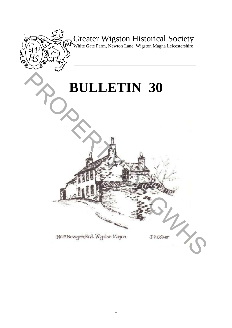

Greater Wigston Historical Society

White Gate Farm, Newton Lane, Wigston Magna Leicestershire

**\_\_\_\_\_\_\_\_\_\_\_\_\_\_\_\_\_\_\_\_\_\_\_\_\_\_\_\_\_\_\_\_\_\_\_\_\_\_\_** 

# **BULLETIN 30** PROPERTY 30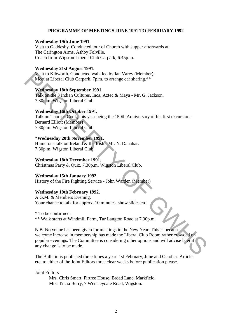### **PROGRAMME OF MEETINGS JUNE 1991 TO FEBRUARY 1992**

### **Wednesday 19th June 1991.**

Visit to Gaddesby. Conducted tour of Church with supper afterwards at The Carington Arms, Ashby Folville. Coach from Wigston Liberal Club Carpark, 6.45p.m.

### **Wednesday 21st August 1991.**

Visit to Kibworth. Conducted walk led by Ian Varey (Member). Meet at Liberal Club Carpark. 7p.m. to arrange car sharing.\*\*

### **Wednesday 18th September 1991**

Talk on the 3 Indian Cultures, Inca, Aztec & Maya - Mr. G. Jackson. 7.30p.m. Wigston Liberal Club.

### **Wednesday 16th October 1991.**

Talk on Thomas Cook, this year being the 150th Anniversary of his first excursion - Bernard Elliott (Member) 7.30p.m. Wigston Liberal Club.

### **\*Wednesday 20th November 1991.**

Humerous talk on Ireland & the Irish - Mr. N. Danahar. 7.30p.m. Wigston Liberal Club.

### **Wednesday 18th December 1991.**

Christmas Party & Quiz. 7.30p.m. Wigston Liberal Club.

### **Wednesday 15th January 1992.**

History of the Fire Fighting Service - John Warden (Member)

### **Wednesday 19th February 1992.**

A.G.M. & Members Evening. Your chance to talk for approx. 10 minutes, show slides etc.

\* To be confirmed. \*\* Walk starts at Windmill Farm, Tur Langton Road at 7.30p.m.

N.B. No venue has been given for meetings in the New Year. This is because a welcome increase in membership has made the Liberal Club Room rather crowded on popular evenings. The Committee is considering other options and will advise later if any change is to be made. Vsit to Kibworth. Conducted walk led by Ian Varey (Member).<br>
Meet at Liberal Club Carpark. 7p.m. to arrange car sharing.\*\*<br> **Wednesday 18th September 1991**<br>
Talk on the 3 Indian Cultures, Inca, Aztec & Maya - Mr. G. Jacks

The Bulletin is published three times a year. 1st February, June and October. Articles etc. to either of the Joint Editors three clear weeks before publication please.

Joint Editors

Mrs. Chris Smart, Firtree House, Broad Lane, Markfield. Mrs. Tricia Berry, 7 Wensleydale Road, Wigston.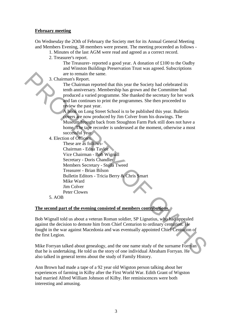## **February meeting**

On Wednesday the 2Oth of February the Society met for its Annual General Meeting and Members Evening, 38 members were present. The meeting proceeded as follows -

- 1. Minutes of the last AGM were read and agreed as a correct record.
	- 2. Treasurer's report.

The Treasurer- reported a good year. A donation of £100 to the Oadby and Winston Buildings Preservation Trust was agreed. Subscriptions are to remain the same.

3. Chairman's Report.

The Chairman reported that this year the Society had celebrated its tenth anniversary. Membership has grown and the Committee had produced a varied programme. She thanked the secretary for her work and Ian continues to print the programmes. She then proceeded to review the past year.

A book on Long Street School is to be published this year. Bulletin covers are now produced by Jim Colver from his drawings. The Museum brought back from Stoughton Farm Park still does not have a home. The tape recorder is underused at the moment, otherwise a most successful year.

4. Election of Officers.

These are as follows-Chairman - Edna Taylor Vice Chairman - Bob Wignall Secretary - Doris Chandler Members Secretary - Stella Tweed Treasurer - Brian Bilson Bulletin Editors - Tricia Berry & Chris Smart Mike Ward Jim Colver Peter Clowes 3. Chairman reported that this year to Foreign the same.<br>The Chairman reported that this year the Society had celebrated its<br>tent miniversary. Membership has grown and the Committee had<br>produced a varied programme. She tha

5. AOB

### **The second part of the evening consisted of members contributions.**

Bob Wignall told us about a veteran Roman soldier, SP Lignatius, who had appealed against the decision to demote him from Chief Centurion to ordinary centurion. He fought in the war against Macedonia and was eventually appointed Chief Centurion of the first Legion.

Mike Forryan talked about genealogy, and the one name study of the surname Forryan that he is undertaking. He told us the story of one individual Abraham Forryan. He also talked in general terms about the study of Family History.

Ann Brown had made a tape of a 92 year old Wigston person talking about her experiences of farming in Kilby after the First World War. Edith Grant of Wigston had married Alfred William Johnson of Kilby. Her reminiscences were both interesting and amusing.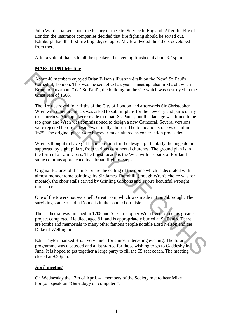John Warden talked about the history of the Fire Service in England. After the Fire of London the insurance companies decided that fire fighting should be sorted out. Edinburgh had the first fire brigade, set up by Mr. Braidwood the others developed from there.

After a vote of thanks to all the speakers the evening finished at about 9.45p.m.

### **MARCH 1991 Meeting**

About 40 members enjoyed Brian Bilson's illustrated talk on the 'New' St. Paul's Cathedral, London. This was the sequel to last year's meeting, also in March, when Brian told us about 'Old' St. Paul's, the building on the site which was destroyed in the Great Fire of 1666.

The fire destroyed four fifths of the City of London and afterwards Sir Christopher Wren with other architects was asked to submit plans for the new city and particularly it's churches. Attempts were made to repair St. Paul's, but the damage was found to be too great and Wren was commissioned to design a new Cathedral. Several versions were rejected before a design was finally chosen. The foundation stone was laid in 1675. The original plans were however much altered as construction proceeded. About 40 members enjoyed Brian Bilson's illustrated talk on the 'New' St. Paul's<br>
Carbightal, London. This was the sequel to last year's meeting, also in March, when<br>
Brian told at shout 'Od' St. Paul's, the building on t

Wren is thought to have got his inspiration for the design, particularly the huge dome supported by eight pillars, from various continental churches. The ground plan is in the form of a Latin Cross. The finest facade is the West with it's pairs of Portland stone columns approached by a broad flight of steps.

Original features of the interior are the ceiling of the dome which is decorated with almost monochrome paintings by Sir James Thornhill, (though Wren's choice was for mosaic), the choir stalls carved by Grinling Gibbons and Tijou's beautiful wrought iron screen.

One of the towers houses a bell, Great Tom, which was made in Loughborough. The surviving statue of John Donne is in the south choir aisle.

The Cathedral was finished in 1708 and Sir Christopher Wren lived to see his greatest project completed. He died, aged 91, and is appropriately buried at St. Paul's. There are tombs and memorials to many other famous people notable Lord Nelson and the Duke of Wellington.

Edna Taylor thanked Brian very much for a most interesting evening. The future programme was discussed and a list started for those wishing to go to Gaddesby in June. It is hoped to get together a large party to fill the 55 seat coach. The meeting closed at 9.30p.m.

### **April meeting**

On Wednesday the 17th of April, 41 members of the Society met to hear Mike Forryan speak on "Genealogy on computer ".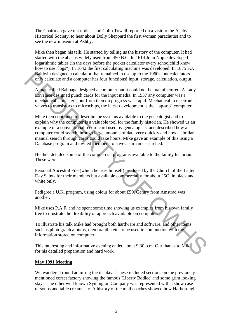The Chairman gave out notices and Colin Towell reported on a visit to the Ashby Historical Society, to hear about Dolly Sheppard the first woman parachutist and to see the new museum at Ashby.

Mike then began his talk. He started by telling us the history of the computer. It had started with the abacus widely used from 450 B.C. In 1614 John Nopie developed logarithmic tables (in the days before the pocket calculator every schoolchild knew how to use "logs"). In 1642 the first calculating machine was developed. In 1875 F.J. Baldwin designed a calculator that remained in use up to the 1960s, but calculators only calculate and a computer has four functions! input, storage, calculation, output.

A man called Babbage designed a computer but it could not be manufactured. A Lady Lovelace designed punch cards for the input media. In 1937 any computer was a mechanical "monster", but from then on progress was rapid. Mechanical to electronic, valves to transistors to microchips, the latest development is the "lap-top" computer.

Mike then continued to describe the systems available to the genealogist and to explain why the computer is a valuable tool for the family historian. He showed us an example of a conventional record card used by genealogists, and described how a computer could search through large amounts of data very quickly and how a similar manual search through cards could take hours. Mike gave an example of this using a Database program and invited members to have a surname searched. **Factualization** designed a calculator that remained in use up to the 1900s, but calculators<br>
A man explied Babbage designed a computer but it could not be manufactured. A Lady<br>
Lovelase designed punch cards for the input

He then detailed some of the commercial programs available to the family historian. These were –

Personal Ancestral File (which he uses himself) produced by the Church of the Latter Day Saints for their members but available commercially for about £5O, in black and white only.

Pedigree a U.K. program, using colour for about £50. Gentry from Amstrad was another.

Mike uses P.A.F. and he spent some time showing us examples from his own family tree to illustrate the flexibility of approach available on computer.

To illustrate his talk Mike had brought both hardware and software, and other items such as photograph albums, memorabilia etc. to be used in conjunction with the information stored on computer.

This interesting and informative evening ended about 9.30 p.m. Our thanks to Mike for his detailed preparation and hard work.

### **May 1991 Meeting**

We wandered round admiring the displays. These included sections on the previously mentioned corset factory showing the famous 'Liberty Bodice' and some grim looking stays. The other well known Symington Company was represented with a show case of soups and table creams etc. A history of the mail coaches showed how Harborough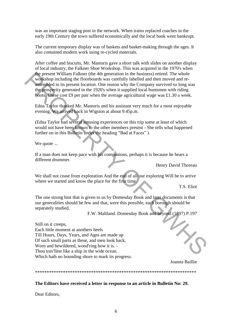was an important staging post in the network. When trains replaced coaches in the early 19th Century the town suffered economically and the local bank went bankrupt.

The current temporary display was of baskets and basket-making through the ages. It also contained modern work using re-cycled materials.

After coffee and biscuits, Mr. Mastoris gave a short talk with slides on another display of local industry, the Falkner Shoe Workshop. This was acquired in the 1970's when the present William Falkner (the 4th generation in the business) retired. The whole workshop including the floorboards was carefully labelled and then moved and reassembled in its present location. One reason why the Company survived so long was the prosperity generated in the 1920's when it supplied local huntsmen with riding boots. These cost £9 per pair when the average agricultural wage was £1.30 a week. the present William Falkner (the 4th generation in the busines) retried. The whole<br>shopping including the floorboards was carefully labelled and then moved and re-<br>asseptibled in its present location. One reason why the C

Edna Taylor thanked Mr. Mastoris and his assistant very much for a most enjoyable evening. We arrived back in Wigston at about 9.45p.m.

(Edna Taylor had several amusing experiences on this trip some at least of which would not have been known to the other members present - She tells what happened further on in this Bulletin under the heading "Bad at Faces" ).

We quote ...

If a man does not keep pace with his companions, perhaps it is because he hears a different drummer.

Henry David Thoreau

We shall not cease from exploration And the end of all our exploring Will be to arrive where we started and know the place for the first time.

T.S. Eliot

The one strong hint that is given to us by Domesday Book and later documents is that our generalities should be few and that, were this possible, each borough should be separately studied.

F.W. Maltland. Domesday Book and beyond (1897) P.197

Still on it creeps, Each little moment at anothers heels Till Hours, Days, Years, and Ages are made up Of such small parts as these, and men look back. Worn and bewildered, wond'ring how it is. - Thou trav'llest like a ship in the wide ocean. Which hath no bounding shore to mark its progress.

Joanna Baillie

\*\*\*\*\*\*\*\*\*\*\*\*\*\*\*\*\*\*\*\*\*\*\*\*\*\*\*\*\*\*\*\*\*\*\*\*\*\*\*\*\*\*\*\*\*\*\*\*\*\*\*\*\*\*\*\*\*\*\*\*\*\*\*\*\*\*\*\*\*

**The Editors have received a letter in response to an article in Bulletin No: 29.** 

Dear Editors,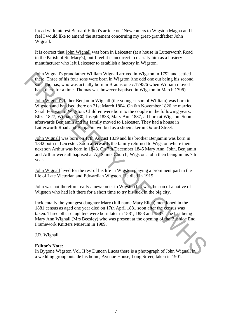I read with interest Bernard Elliott's article on "Newcomers to Wigston Magna and I feel I would like to amend the statement concerning my great-grandfather John Wignall.

It is correct that John Wignall was born in Leicester (at a house in Lutterworth Road in the Parish of St. Mary's), but I feel it is incorrect to classify him as a hosiery manufacturer who left Leicester to establish a factory in Wigston.

John Wignall's grandfather William Wignall arrived in Wigston in 1792 and settled there. Three of his four sons were born in Wigston (the odd one out being his second son, Thomas, who was actually born in Braunstone c.1795/6 when William moved back there for a time. Thomas was however baptised in Wigston in March 1796).

John Wignall's father Benjamin Wignall (the youngest son of William) was born in Wigston and baptised there on 21st March 1804. On 6th November 1826 he married Sarah Forryan of Wigston. Children were born to the couple in the following years: Eliza 1827, William 1830, Joseph 1833, Mary Ann 1837, all born at Wigston. Soon afterwards Benjamin and his family moved to Leicester. They had a house in Lutterworth Road and Benjamin worked as a shoemaker in Oxford Street. **John Wignall Is grandfather William Wignall univel in Wigston in 1792 and settled<br>the fit. Three of his four some serve form in Wigston (the odd one out being his second<br>som, Thomas, who was actually born in Braunstone c** 

John Wignall was born on 17th August 1839 and his brother Benjamin was born in 1842 both in Leicester. Soon afterwards the family returned to Wigston where their next son Arthur was born in 1843. On 7th December 1845 Mary Ann, John, Benjamin and Arthur were all baptised at All Saints Church, Wigston. John then being in his 7th year.

John Wignall lived for the rest of his life in Wigston playing a prominent part in the life of Late Victorian and Edwardian Wigston. He died in 1915.

John was not therefore really a newcomer to Wigston but was the son of a native of Wigston who had left there for a short time to try his luck in the big city.

Incidentally the youngest daughter Mary (full name Mary Ellen) mentioned in the 1881 census as aged one year died on 17th April 1881 soon after the census was taken. Three other daughters were born later in 1881, 1883 and 1887. The last being Mary Ann Wignall (Mrs Beesley) who was present at the opening of the Bushloe End Framework Knitters Museum in 1989.

J.R. Wignall.

### **Editor's Note:**

In Bygone Wigston Vol. II by Duncan Lucas there is a photograph of John Wignall in a wedding group outside his home, Avenue House, Long Street, taken in 1901.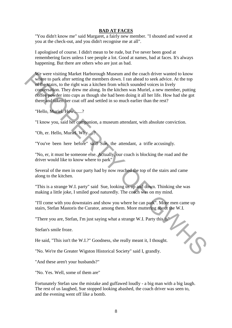### **BAD AT FACES**

"You didn't know me" said Margaret, a fairly new member. "I shouted and waved at you at the check-out, and you didn't recognise me at all".

I apologised of course. I didn't mean to be rude, but I've never been good at remembering faces unless I see people a lot. Good at names, bad at faces. It's always happening. But there are others who are just as bad.

We were visiting Market Harborough Museum and the coach driver wanted to know where to park after setting the members down. I ran ahead to seek advice. At the top of the stairs, to the right was a kitchen from which sounded voices in lively conversation. They drew me along. In the kitchen was Muriel, a new member, putting coffee powder into cups as though she had been doing it all her life. How had she got there and taken her coat off and settled in so much earlier than the rest? We were visiting Market Harborough Museum and the coach driver wanted to know<br>whipe to park after setting the members down. I ran ahead to seek advice. At the top<br>offer stars, to the right was a kitchen from which sounded

"Hello, Muriel. How.......?

"I know you, said her companion, a museum attendant, with absolute conviction.

"Oh, er. Hello, Muriel. Why.....?

"You've been here before" said Sue, the attendant, a trifle accusingly.

"No, er, it must be someone else. Actually, our coach is blocking the road and the driver would like to know where to park"

Several of the men in our party had by now reached the top of the stairs and came along to the kitchen.

"This is a strange W.I. party" said Sue, looking us up and down. Thinking she was making a little joke, I smiled good naturedly. The coach was on my mind.

"I'll come with you downstairs and show you where he can park". More men came up stairs, Stefan Mastoris the Curator, among them. More muttering about the W.I.

"There you are, Stefan, I'm just saying what a strange W.I. Party this is"

Stefan's smile froze.

He said, "This isn't the W.I.?" Goodness, she really meant it, I thought.

"No. We're the Greater Wigston Historical Society" said I, grandly.

"And these aren't your husbands?"

"No. Yes. Well, some of them are"

Fortunately Stefan saw the mistake and guffawed loudly - a big man with a big laugh. The rest of us laughed, Sue stopped looking abashed, the coach driver was seen to, and the evening went off like a bomb.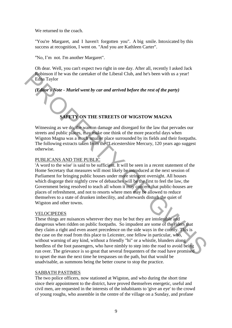We returned to the coach.

"You're Margaret, and I haven't forgotten you". A big smile. Intoxicated by this success at recognition, I went on. "And you are Kathleen Carter".

"No, I'm not. I'm another Margaret".

Oh dear. Well, you can't expect two right in one day. After all, recently I asked Jack Robinson if he was the caretaker of the Liberal Club, and he's been with us a year! Edna Taylor

# *(Editor's Note - Muriel went by car and arrived before the rest of the party)*

# **SAFETY ON THE STREETS OF WIGSTOW MAGNA**

Witnessing as we do, the wanton damage and disregard for the law that pervades our streets and public places, may make one think of the more peaceful days when Wigston Magna was a much smaller place surrounded by its fields and their footpaths. The following extracts taken from the "Leicestershire Mercury, 120 years ago suggest otherwise.

# PUBLICANS AND THE PUBLIC

'A word to the wise' is said to be sufficient. It will be seen in a recent statement of the Home Secretary that measures will most likely be introduced at the next session of Parliament for bringing public houses under more stringent oversight. All houses which disgorge their nightly crew of debauches will be the first to feel the law, the Government being resolved to teach all whom it may concern that public-houses are places of refreshment, and not to resorts where men may be allowed to reduce themselves to a state of drunken imbecility, and afterwards disturb the quiet of Wigston and other towns. **Reference of the United Section of Equivalential Club, and he's been with us a year!**<br> **Editor's Note - Muriel went by car and arrived before the rest of the party)**<br> **Editor's Note - Muriel went by car and arrived befor** 

### VELOCIPEDES

These things are nuisances wherever they may be but they are intolerable and dangerous when ridden on public footpaths. So impudent are some of the riders that they claim a right and even assert precedence on the side ways in the county. This is the case on the road from this place to Leicester, one fellow in particular, who, without warning of any kind, without a friendly "hi" or a whistle, blunders along heedless of the foot passengers, who have nimbly to step into the road to avoid being run over. The grievance is so great that several frequenters of the road have promised to upset the man the next time he trespasses on the path, but that would be unadvisable, as summons being the better course to stop the practice.

### SABBATH PASTIMES

The two police officers, now stationed at Wigston, and who during the short time since their appointment to the district, have proved themselves energetic, useful and civil men, are requested in the interests of the inhabitants to 'give an eye' to the crowd of young roughs, who assemble in the centre of the village on a Sunday, and profane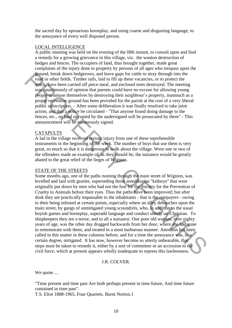the sacred day by uproarious horseplay, and using coarse and disgusting language, to the annoyance of every well disposed person.

### LOCAL INTELLIGENCE

A public meeting was held on the evening of the I8th instant, to consult upon and find a remedy for a growing grievance in this village, viz. the wanton destruction of hedges and fences. The occupiers of land, thus brought together, made great complaints of the injury done to property by persons of all ages who trespass upon the ground, break down hedgerows, and leave gaps for cattle to stray through into the road or other fields. Timber rails, laid to fill up these vacancies, or to protect the quick, have been carried off piece meal, and enclosed trees destroyed. The meeting was unanimously of opinion that parents could have no excuse for allowing young people to amuse themselves by destroying their neighbour's property, inasmuch as a proper recreation ground has been provided for the parish at the cost of a very liberal public subscription. – After some deliberation it was finally resolved to take joint action, and that a notice be circulated - "That anyone found doing damage to the fences, etc., on land occupied by the undersigned will be prosecuted by them" - This announcement will be numerously signed.

### CATAPULTS

A lad in the village received serious injury from one of these reprehensible instruments in the beginning of the week. The number of boys that use them is very great, so much so that it is dangerous to walk about the village. Were one or two of the offenders made an example of, as they should be, the nuisance would be greatly abated to the great relief of the lieges of Wigston.

### STATE OF THE STREETS

Some months ago, one of the paths running through the main street of Wigston, was levelled and laid with granite, superseding those antediluvian "kidneys" that were originally put down by men who had not the fear for the Society for the Prevention of Cruelty to Animals before their eyes. Thus the paths have been improved; but after dusk they are practically impassable to the inhabitants - that is the ratepayers - owing to their being infested at certain points, especially where an alley debouches upon the main street, by gangs of unmitigated young scoundrels, who, in addition to the usual boyish games and horseplay, superadd language and conduct utterly un-Christian. To shopkeepers they are a terror, and to all a nuisance. One poor old woman, over eighty years of age, was the other day dragged backwards from her door, where she had gone to remonstrate with them, and treated in a most barbarous manner. Attention has been called to this matter in these columns before, and for a time the annoyance was, to a certain degree, mitigated. It has now, however become so utterly unbearable, that steps must be taken to remedy it, either by a sort of committee or an accession to the civil force, which at present appears wholly inadequate to repress this lawlessness. **From these down hedgerows, and leave gass for cattle to stray through into the set of the set of the set of the set of the set of the set of the set of the set of the set of the set of the set of the set of the set of th** 

### J.R. COLVER.

We quote ...

"Time present and time past Are both perhaps present in time future, And time future contained in time past".

T.S. Eliot 1888-1965, Four Quartets. Burnt Norton.1